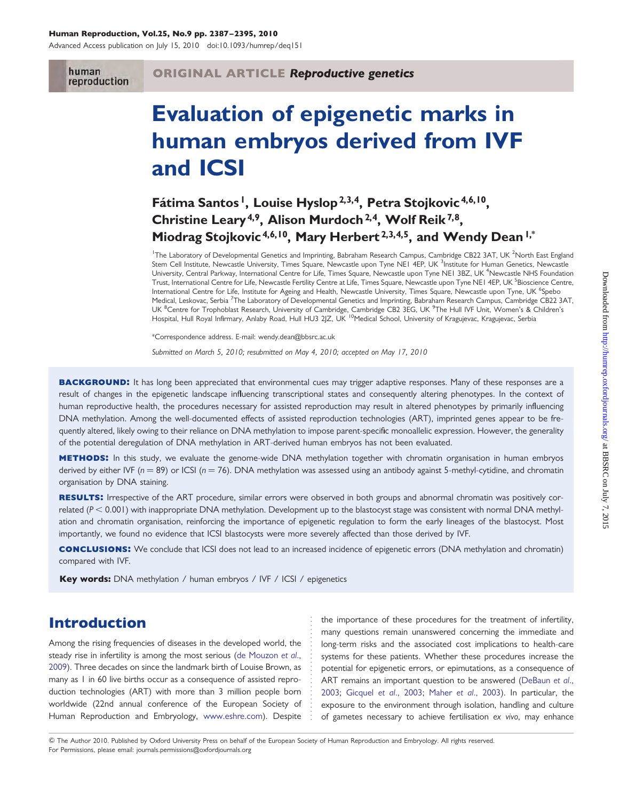#### Human Reproduction, Vol.25, No.9 pp. 2387–2395, 2010

Advanced Access publication on July 15, 2010 doi:10.1093/humrep/deq151

human reproduction

## ORIGINAL ARTICLE Reproductive genetics

# Evaluation of epigenetic marks in human embryos derived from IVF and ICSI

# Fátima Santos<sup>1</sup>, Louise Hyslop<sup>2,3,4</sup>, Petra Stojkovic<sup>4,6,10</sup>, Christine Leary<sup>4,9</sup>, Alison Murdoch<sup>2,4</sup>, Wolf Reik<sup>7,8</sup>, Miodrag Stojkovic<sup>4,6,10</sup>, Mary Herbert<sup>2,3,4,5</sup>, and Wendy Dean<sup>1,\*</sup>

<sup>1</sup>The Laboratory of Developmental Genetics and Imprinting, Babraham Research Campus, Cambridge CB22 3AT, UK <sup>2</sup>North East England Stem Cell Institute, Newcastle University, Times Square, Newcastle upon Tyne NE1 4EP, UK <sup>3</sup>Institute for Human Genetics, Newcastle University, Central Parkway, International Centre for Life, Times Square, Newcastle upon Tyne NEI 3BZ, UK <sup>4</sup>Newcastle NHS Foundation Trust, International Centre for Life, Newcastle Fertility Centre at Life, Times Square, Newcastle upon Tyne NEI 4EP, UK <sup>5</sup>Bioscience Centre, International Centre for Life, Institute for Ageing and Health, Newcastle University, Times Square, Newcastle upon Tyne, UK <sup>6</sup>Spebo Medical, Leskovac, Serbia <sup>7</sup>The Laboratory of Developmental Genetics and Imprinting, Babraham Research Campus, Cambridge CB22 3AT, UK <sup>8</sup>Centre for Trophoblast Research, University of Cambridge, Cambridge CB2 3EG, UK <sup>9</sup>The Hull IVF Unit, Women's & Children's<br>Hospital, Hull Royal Infirmary, Anlaby Road, Hull HU3 2JZ, UK <sup>10</sup>Medical School, University

\*Correspondence address. E-mail: wendy.dean@bbsrc.ac.uk

Submitted on March 5, 2010; resubmitted on May 4, 2010; accepted on May 17, 2010

**BACKGROUND:** It has long been appreciated that environmental cues may trigger adaptive responses. Many of these responses are a result of changes in the epigenetic landscape influencing transcriptional states and consequently altering phenotypes. In the context of human reproductive health, the procedures necessary for assisted reproduction may result in altered phenotypes by primarily influencing DNA methylation. Among the well-documented effects of assisted reproduction technologies (ART), imprinted genes appear to be frequently altered, likely owing to their reliance on DNA methylation to impose parent-specific monoallelic expression. However, the generality of the potential deregulation of DNA methylation in ART-derived human embryos has not been evaluated.

METHODS: In this study, we evaluate the genome-wide DNA methylation together with chromatin organisation in human embryos derived by either IVF ( $n = 89$ ) or ICSI ( $n = 76$ ). DNA methylation was assessed using an antibody against 5-methyl-cytidine, and chromatin organisation by DNA staining.

RESULTS: Irrespective of the ART procedure, similar errors were observed in both groups and abnormal chromatin was positively correlated  $(P < 0.001)$  with inappropriate DNA methylation. Development up to the blastocyst stage was consistent with normal DNA methylation and chromatin organisation, reinforcing the importance of epigenetic regulation to form the early lineages of the blastocyst. Most importantly, we found no evidence that ICSI blastocysts were more severely affected than those derived by IVF.

conclusions: We conclude that ICSI does not lead to an increased incidence of epigenetic errors (DNA methylation and chromatin) compared with IVF.

Key words: DNA methylation / human embryos / IVF / ICSI / epigenetics

## Introduction

Among the rising frequencies of diseases in the developed world, the steady rise in infertility is among the most serious ([de Mouzon](#page-7-0) et al., [2009](#page-7-0)). Three decades on since the landmark birth of Louise Brown, as many as 1 in 60 live births occur as a consequence of assisted reproduction technologies (ART) with more than 3 million people born worldwide (22nd annual conference of the European Society of Human Reproduction and Embryology, <www.eshre.com>). Despite

the importance of these procedures for the treatment of infertility, many questions remain unanswered concerning the immediate and long-term risks and the associated cost implications to health-care systems for these patients. Whether these procedures increase the potential for epigenetic errors, or epimutations, as a consequence of ART remains an important question to be answered [\(DeBaun](#page-7-0) et al., [2003](#page-7-0); [Gicquel](#page-7-0) et al., 2003; Maher et al[., 2003\)](#page-8-0). In particular, the exposure to the environment through isolation, handling and culture of gametes necessary to achieve fertilisation ex vivo, may enhance

& The Author 2010. Published by Oxford University Press on behalf of the European Society of Human Reproduction and Embryology. All rights reserved. For Permissions, please email: journals.permissions@oxfordjournals.org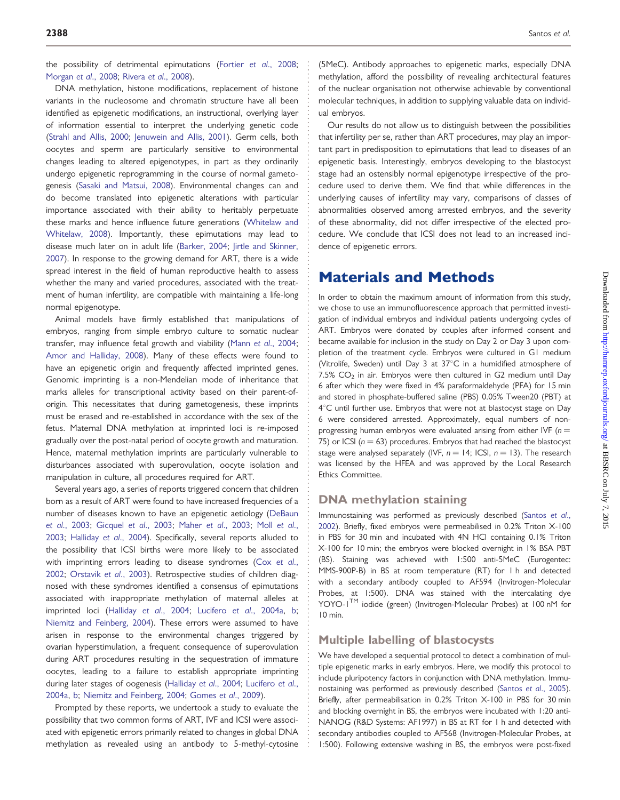the possibility of detrimental epimutations (Fortier et al[., 2008;](#page-7-0) [Morgan](#page-8-0) et al., 2008; Rivera et al[., 2008](#page-8-0)).

DNA methylation, histone modifications, replacement of histone variants in the nucleosome and chromatin structure have all been identified as epigenetic modifications, an instructional, overlying layer of information essential to interpret the underlying genetic code [\(Strahl and Allis, 2000](#page-8-0); [Jenuwein and Allis, 2001\)](#page-8-0). Germ cells, both oocytes and sperm are particularly sensitive to environmental changes leading to altered epigenotypes, in part as they ordinarily undergo epigenetic reprogramming in the course of normal gametogenesis ([Sasaki and Matsui, 2008](#page-8-0)). Environmental changes can and do become translated into epigenetic alterations with particular importance associated with their ability to heritably perpetuate these marks and hence influence future generations [\(Whitelaw and](#page-8-0) [Whitelaw, 2008](#page-8-0)). Importantly, these epimutations may lead to disease much later on in adult life [\(Barker, 2004;](#page-7-0) [Jirtle and Skinner,](#page-8-0) [2007](#page-8-0)). In response to the growing demand for ART, there is a wide spread interest in the field of human reproductive health to assess whether the many and varied procedures, associated with the treatment of human infertility, are compatible with maintaining a life-long normal epigenotype.

Animal models have firmly established that manipulations of embryos, ranging from simple embryo culture to somatic nuclear transfer, may influence fetal growth and viability (Mann et al[., 2004;](#page-8-0) [Amor and Halliday, 2008\)](#page-7-0). Many of these effects were found to have an epigenetic origin and frequently affected imprinted genes. Genomic imprinting is a non-Mendelian mode of inheritance that marks alleles for transcriptional activity based on their parent-oforigin. This necessitates that during gametogenesis, these imprints must be erased and re-established in accordance with the sex of the fetus. Maternal DNA methylation at imprinted loci is re-imposed gradually over the post-natal period of oocyte growth and maturation. Hence, maternal methylation imprints are particularly vulnerable to disturbances associated with superovulation, oocyte isolation and manipulation in culture, all procedures required for ART.

Several years ago, a series of reports triggered concern that children born as a result of ART were found to have increased frequencies of a number of diseases known to have an epigenetic aetiology [\(DeBaun](#page-7-0) et al[., 2003;](#page-7-0) [Gicquel](#page-7-0) et al., 2003; Maher et al[., 2003](#page-8-0); Moll [et al](#page-8-0)., [2003](#page-8-0); [Halliday](#page-8-0) et al., 2004). Specifically, several reports alluded to the possibility that ICSI births were more likely to be associated with imprinting errors leading to disease syndromes (Cox [et al](#page-7-0)., [2002](#page-7-0); [Orstavik](#page-8-0) et al., 2003). Retrospective studies of children diagnosed with these syndromes identified a consensus of epimutations associated with inappropriate methylation of maternal alleles at imprinted loci (Halliday et al[., 2004](#page-8-0); Lucifero et al[., 2004a](#page-8-0), [b;](#page-8-0) Niemitz and [Feinberg, 2004\)](#page-8-0). These errors were assumed to have arisen in response to the environmental changes triggered by ovarian hyperstimulation, a frequent consequence of superovulation during ART procedures resulting in the sequestration of immature oocytes, leading to a failure to establish appropriate imprinting during later stages of oogenesis ([Halliday](#page-8-0) et al., 2004; [Lucifero](#page-8-0) et al., [2004a](#page-8-0), [b;](#page-8-0) [Niemitz and Feinberg, 2004;](#page-8-0) [Gomes](#page-7-0) et al., 2009).

Prompted by these reports, we undertook a study to evaluate the possibility that two common forms of ART, IVF and ICSI were associated with epigenetic errors primarily related to changes in global DNA methylation as revealed using an antibody to 5-methyl-cytosine (5MeC). Antibody approaches to epigenetic marks, especially DNA methylation, afford the possibility of revealing architectural features of the nuclear organisation not otherwise achievable by conventional molecular techniques, in addition to supplying valuable data on individual embryos.

Our results do not allow us to distinguish between the possibilities that infertility per se, rather than ART procedures, may play an important part in predisposition to epimutations that lead to diseases of an epigenetic basis. Interestingly, embryos developing to the blastocyst stage had an ostensibly normal epigenotype irrespective of the procedure used to derive them. We find that while differences in the underlying causes of infertility may vary, comparisons of classes of abnormalities observed among arrested embryos, and the severity of these abnormality, did not differ irrespective of the elected procedure. We conclude that ICSI does not lead to an increased incidence of epigenetic errors.

## Materials and Methods

In order to obtain the maximum amount of information from this study, we chose to use an immunofluorescence approach that permitted investigation of individual embryos and individual patients undergoing cycles of ART. Embryos were donated by couples after informed consent and became available for inclusion in the study on Day 2 or Day 3 upon completion of the treatment cycle. Embryos were cultured in G1 medium (Vitrolife, Sweden) until Day 3 at  $37^{\circ}$ C in a humidified atmosphere of  $7.5\%$  CO<sub>2</sub> in air. Embryos were then cultured in G2 medium until Day 6 after which they were fixed in 4% paraformaldehyde (PFA) for 15 min and stored in phosphate-buffered saline (PBS) 0.05% Tween20 (PBT) at  $4^{\circ}$ C until further use. Embryos that were not at blastocyst stage on Day 6 were considered arrested. Approximately, equal numbers of nonprogressing human embryos were evaluated arising from either IVF ( $n =$ 75) or ICSI ( $n = 63$ ) procedures. Embryos that had reached the blastocyst stage were analysed separately (IVF,  $n = 14$ ; ICSI,  $n = 13$ ). The research was licensed by the HFEA and was approved by the Local Research Ethics Committee.

### DNA methylation staining

Immunostaining was performed as previously described ([Santos](#page-8-0) et al., [2002\)](#page-8-0). Briefly, fixed embryos were permeabilised in 0.2% Triton X-100 in PBS for 30 min and incubated with 4N HCl containing 0.1% Triton X-100 for 10 min; the embryos were blocked overnight in 1% BSA PBT (BS). Staining was achieved with 1:500 anti-5MeC (Eurogentec: MMS-900P-B) in BS at room temperature (RT) for 1 h and detected with a secondary antibody coupled to AF594 (Invitrogen-Molecular Probes, at 1:500). DNA was stained with the intercalating dye YOYO-1TM iodide (green) (Invitrogen-Molecular Probes) at 100 nM for 10 min.

## Multiple labelling of blastocysts

We have developed a sequential protocol to detect a combination of multiple epigenetic marks in early embryos. Here, we modify this protocol to include pluripotency factors in conjunction with DNA methylation. Immunostaining was performed as previously described (Santos et al[., 2005](#page-8-0)). Briefly, after permeabilisation in 0.2% Triton X-100 in PBS for 30 min and blocking overnight in BS, the embryos were incubated with 1:20 anti-NANOG (R&D Systems: AF1997) in BS at RT for 1 h and detected with secondary antibodies coupled to AF568 (Invitrogen-Molecular Probes, at 1:500). Following extensive washing in BS, the embryos were post-fixed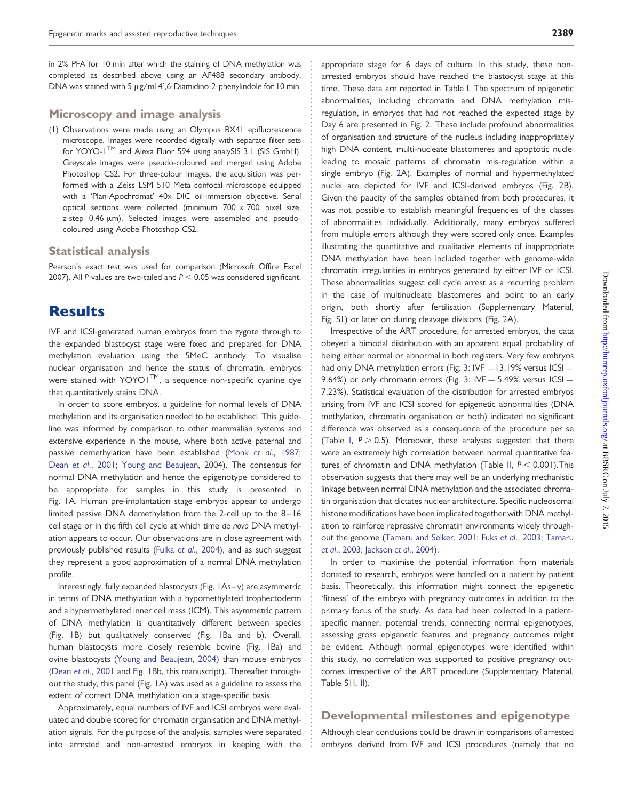in 2% PFA for 10 min after which the staining of DNA methylation was completed as described above using an AF488 secondary antibody. DNA was stained with 5  $\mu$ g/ml 4',6-Diamidino-2-phenylindole for 10 min.

#### Microscopy and image analysis

(1) Observations were made using an Olympus BX41 epifluorescence microscope. Images were recorded digitally with separate filter sets for YOYO-1 $^{TM}$  and Alexa Fluor 594 using analySIS 3.1 (SIS GmbH). Greyscale images were pseudo-coloured and merged using Adobe Photoshop CS2. For three-colour images, the acquisition was performed with a Zeiss LSM 510 Meta confocal microscope equipped with a 'Plan-Apochromat' 40x DIC oil-immersion objective. Serial optical sections were collected (minimum  $700 \times 700$  pixel size,  $z$ -step 0.46  $\mu$ m). Selected images were assembled and pseudocoloured using Adobe Photoshop CS2.

#### Statistical analysis

Pearson's exact test was used for comparison (Microsoft Office Excel 2007). All P-values are two-tailed and  $P < 0.05$  was considered significant.

## **Results**

IVF and ICSI-generated human embryos from the zygote through to the expanded blastocyst stage were fixed and prepared for DNA methylation evaluation using the 5MeC antibody. To visualise nuclear organisation and hence the status of chromatin, embryos were stained with YOYO1<sup>TM</sup>, a sequence non-specific cyanine dye that quantitatively stains DNA.

In order to score embryos, a guideline for normal levels of DNA methylation and its organisation needed to be established. This guideline was informed by comparison to other mammalian systems and extensive experience in the mouse, where both active paternal and passive demethylation have been established (Monk et al[., 1987](#page-8-0); Dean et al[., 2001](#page-7-0); [Young and Beaujean,](#page-8-0) 2004). The consensus for normal DNA methylation and hence the epigenotype considered to be appropriate for samples in this study is presented in Fig. [1](#page-3-0)A. Human pre-implantation stage embryos appear to undergo limited passive DNA demethylation from the 2-cell up to the 8–16 cell stage or in the fifth cell cycle at which time de novo DNA methylation appears to occur. Our observations are in close agreement with previously published results (Fulka et al[., 2004](#page-7-0)), and as such suggest they represent a good approximation of a normal DNA methylation profile.

Interestingly, fully expanded blastocysts (Fig. [1A](#page-3-0)s–v) are asymmetric in terms of DNA methylation with a hypomethylated trophectoderm and a hypermethylated inner cell mass (ICM). This asymmetric pattern of DNA methylation is quantitatively different between species (Fig. [1](#page-3-0)B) but qualitatively conserved (Fig. [1](#page-3-0)Ba and b). Overall, human blastocysts more closely resemble bovine (Fig. [1](#page-3-0)Ba) and ovine blastocysts ([Young and Beaujean, 2004\)](#page-8-0) than mouse embryos (Dean et al[., 2001](#page-7-0) and Fig. [1](#page-3-0)Bb, this manuscript). Thereafter throughout the study, this panel (Fig. [1](#page-3-0)A) was used as a guideline to assess the extent of correct DNA methylation on a stage-specific basis.

Approximately, equal numbers of IVF and ICSI embryos were evaluated and double scored for chromatin organisation and DNA methylation signals. For the purpose of the analysis, samples were separated into arrested and non-arrested embryos in keeping with the arrested embryos should have reached the blastocyst stage at this time. These data are reported in Table [I](#page-4-0). The spectrum of epigenetic abnormalities, including chromatin and DNA methylation misregulation, in embryos that had not reached the expected stage by Day 6 are presented in Fig. [2.](#page-4-0) These include profound abnormalities of organisation and structure of the nucleus including inappropriately high DNA content, multi-nucleate blastomeres and apoptotic nuclei leading to mosaic patterns of chromatin mis-regulation within a single embryo (Fig. [2](#page-4-0)A). Examples of normal and hypermethylated nuclei are depicted for IVF and ICSI-derived embryos (Fig. [2](#page-4-0)B). Given the paucity of the samples obtained from both procedures, it was not possible to establish meaningful frequencies of the classes of abnormalities individually. Additionally, many embryos suffered from multiple errors although they were scored only once. Examples illustrating the quantitative and qualitative elements of inappropriate DNA methylation have been included together with genome-wide chromatin irregularities in embryos generated by either IVF or ICSI. These abnormalities suggest cell cycle arrest as a recurring problem in the case of multinucleate blastomeres and point to an early origin, both shortly after fertilisation ([Supplementary Material,](http://humrep.oxfordjournals.org/cgi/content/full/deq151/DC1) [Fig. S1\)](http://humrep.oxfordjournals.org/cgi/content/full/deq151/DC1) or later on during cleavage divisions (Fig. [2](#page-4-0)A).

Irrespective of the ART procedure, for arrested embryos, the data obeyed a bimodal distribution with an apparent equal probability of being either normal or abnormal in both registers. Very few embryos had only DNA methylation errors (Fig. [3:](#page-5-0) IVF = 13.19% versus ICSI = 9.64%) or only chromatin errors (Fig. [3:](#page-5-0) IVF =  $5.49\%$  versus ICSI = 7.23%). Statistical evaluation of the distribution for arrested embryos arising from IVF and ICSI scored for epigenetic abnormalities (DNA methylation, chromatin organisation or both) indicated no significant difference was observed as a consequence of the procedure per se (Table [I](#page-4-0),  $P > 0.5$ ). Moreover, these analyses suggested that there were an extremely high correlation between normal quantitative fea-tures of chromatin and DNA methylation (Table [II](#page-5-0),  $P < 0.001$ ).This observation suggests that there may well be an underlying mechanistic linkage between normal DNA methylation and the associated chromatin organisation that dictates nuclear architecture. Specific nucleosomal histone modifications have been implicated together with DNA methylation to reinforce repressive chromatin environments widely throughout the genome ([Tamaru and Selker, 2001](#page-8-0); Fuks et al[., 2003](#page-7-0); [Tamaru](#page-8-0) et al[., 2003;](#page-8-0) [Jackson](#page-8-0) et al., 2004).

appropriate stage for 6 days of culture. In this study, these non-

In order to maximise the potential information from materials donated to research, embryos were handled on a patient by patient basis. Theoretically, this information might connect the epigenetic 'fitness' of the embryo with pregnancy outcomes in addition to the primary focus of the study. As data had been collected in a patientspecific manner, potential trends, connecting normal epigenotypes, assessing gross epigenetic features and pregnancy outcomes might be evident. Although normal epigenotypes were identified within this study, no correlation was supported to positive pregnancy outcomes irrespective of the ART procedure [\(Supplementary Material,](http://humrep.oxfordjournals.org/cgi/content/full/deq151/DC1) [Table S1I](http://humrep.oxfordjournals.org/cgi/content/full/deq151/DC1), [II](#page-5-0)).

## Developmental milestones and epigenotype

Although clear conclusions could be drawn in comparisons of arrested embryos derived from IVF and ICSI procedures (namely that no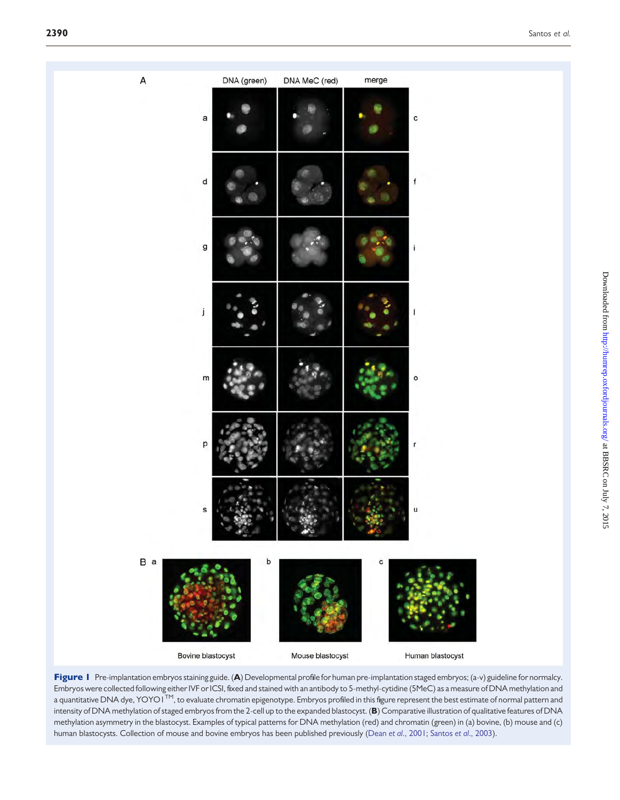<span id="page-3-0"></span>

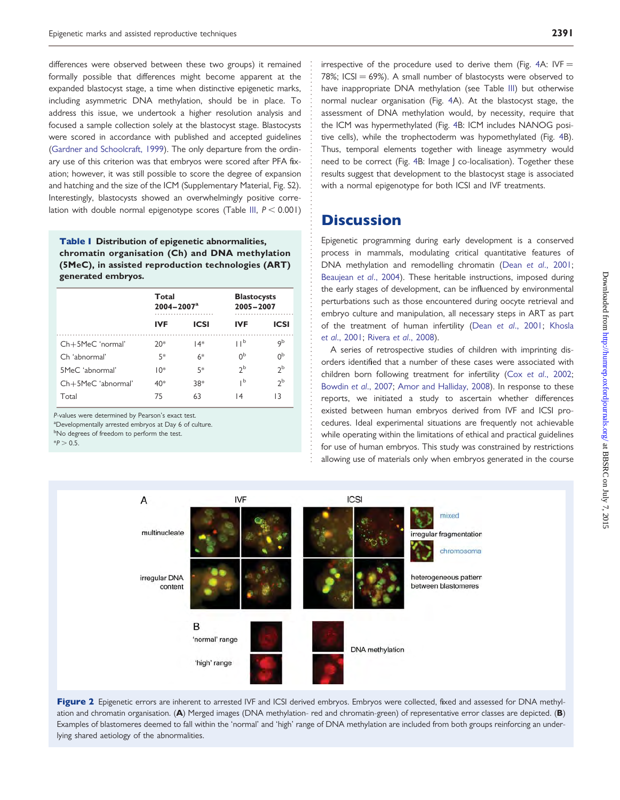<span id="page-4-0"></span>differences were observed between these two groups) it remained formally possible that differences might become apparent at the expanded blastocyst stage, a time when distinctive epigenetic marks, including asymmetric DNA methylation, should be in place. To address this issue, we undertook a higher resolution analysis and focused a sample collection solely at the blastocyst stage. Blastocysts were scored in accordance with published and accepted guidelines [\(Gardner and Schoolcraft, 1999\)](#page-7-0). The only departure from the ordinary use of this criterion was that embryos were scored after PFA fixation; however, it was still possible to score the degree of expansion and hatching and the size of the ICM ([Supplementary Material, Fig. S2\)](http://humrep.oxfordjournals.org/cgi/content/full/deq151/DC1). Interestingly, blastocysts showed an overwhelmingly positive corre-lation with double normal epigenotype scores (Table [III](#page-5-0),  $P < 0.001$ )

#### Table I Distribution of epigenetic abnormalities, chromatin organisation (Ch) and DNA methylation (5MeC), in assisted reproduction technologies (ART) generated embryos.

|                      | Total<br>$2004 - 2007$ <sup>a</sup> |             | <b>Blastocysts</b><br>2005-2007 |                |
|----------------------|-------------------------------------|-------------|---------------------------------|----------------|
|                      | <b>IVF</b>                          | <b>ICSI</b> | IVF                             | <b>ICSI</b>    |
| $Ch+5MeC$ 'normal'   | 20*                                 | $ 4*$       | $11^b$                          | gb             |
| Ch 'abnormal'        | 5*                                  | $6*$        | 0p                              | 0 <sup>p</sup> |
| 5MeC 'abnormal'      | $10*$                               | 5*          | ηb                              | ን <sub>p</sub> |
| $Ch+5MeC$ 'abnormal' | $40*$                               | $38*$       | 1 <sub>p</sub>                  | ን <sub>p</sub> |
| Total                | 75                                  | 63          | 14                              | 13             |

P-values were determined by Pearson's exact test.

<sup>a</sup>Developmentally arrested embryos at Day 6 of culture. **bNo degrees of freedom to perform the test.** 

 $*P > 0.5$ 

irrespective of the procedure used to derive them (Fig.  $4A$ : IVF = 78%; ICSI  $= 69%$ ). A small number of blastocysts were observed to have inappropriate DNA methylation (see Table [III\)](#page-5-0) but otherwise normal nuclear organisation (Fig. [4A](#page-6-0)). At the blastocyst stage, the assessment of DNA methylation would, by necessity, require that the ICM was hypermethylated (Fig. [4](#page-6-0)B: ICM includes NANOG positive cells), while the trophectoderm was hypomethylated (Fig. [4B](#page-6-0)). Thus, temporal elements together with lineage asymmetry would need to be correct (Fig. [4B](#page-6-0): Image | co-localisation). Together these results suggest that development to the blastocyst stage is associated with a normal epigenotype for both ICSI and IVF treatments.

# **Discussion**

Epigenetic programming during early development is a conserved process in mammals, modulating critical quantitative features of DNA methylation and remodelling chromatin (Dean et al[., 2001;](#page-7-0) [Beaujean](#page-7-0) et al., 2004). These heritable instructions, imposed during the early stages of development, can be influenced by environmental perturbations such as those encountered during oocyte retrieval and embryo culture and manipulation, all necessary steps in ART as part of the treatment of human infertility (Dean et al[., 2001;](#page-7-0) [Khosla](#page-8-0) et al[., 2001](#page-8-0); Rivera et al[., 2008](#page-8-0)).

A series of retrospective studies of children with imprinting disorders identified that a number of these cases were associated with children born following treatment for infertility (Cox et al[., 2002;](#page-7-0) [Bowdin](#page-7-0) et al., 2007; [Amor and Halliday, 2008](#page-7-0)). In response to these reports, we initiated a study to ascertain whether differences existed between human embryos derived from IVF and ICSI procedures. Ideal experimental situations are frequently not achievable while operating within the limitations of ethical and practical guidelines for use of human embryos. This study was constrained by restrictions allowing use of materials only when embryos generated in the course



Figure 2 Epigenetic errors are inherent to arrested IVF and ICSI derived embryos. Embryos were collected, fixed and assessed for DNA methylation and chromatin organisation. (A) Merged images (DNA methylation- red and chromatin-green) of representative error classes are depicted. (B) Examples of blastomeres deemed to fall within the 'normal' and 'high' range of DNA methylation are included from both groups reinforcing an underlying shared aetiology of the abnormalities.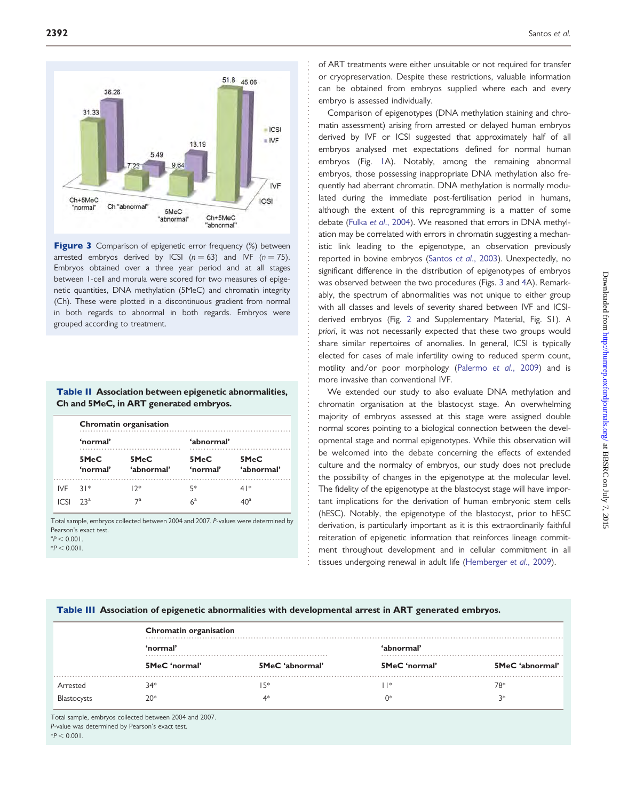<span id="page-5-0"></span>

Figure 3 Comparison of epigenetic error frequency (%) between arrested embryos derived by ICSI ( $n = 63$ ) and IVF ( $n = 75$ ). Embryos obtained over a three year period and at all stages between 1-cell and morula were scored for two measures of epigenetic quantities, DNA methylation (5MeC) and chromatin integrity (Ch). These were plotted in a discontinuous gradient from normal in both regards to abnormal in both regards. Embryos were grouped according to treatment.

| Table II Association between epigenetic abnormalities, |
|--------------------------------------------------------|
| Ch and 5MeC, in ART generated embryos.                 |

|       | Chromatin organisation      |                    |                           |                    |  |  |
|-------|-----------------------------|--------------------|---------------------------|--------------------|--|--|
|       | 'normal'                    |                    | 'abnormal'                |                    |  |  |
|       | 5MeC<br>'normal'            | 5MeC<br>'abnormal' | 5MeC<br>'normal'          | 5MeC<br>'abnormal' |  |  |
| IVF   | $\mathcal{R}$ $\mathcal{R}$ | $12*$              | 5*                        | $4$  *             |  |  |
| וריגו | 23 <sup>a</sup>             |                    | $\mathsf{K}^{\mathrm{a}}$ |                    |  |  |

Total sample, embryos collected between 2004 and 2007. P-values were determined by Pearson's exact test.

 ${}^{a}P$  < 0.001.  $*P < 0.001$ 

of ART treatments were either unsuitable or not required for transfer or cryopreservation. Despite these restrictions, valuable information can be obtained from embryos supplied where each and every embryo is assessed individually.

Comparison of epigenotypes (DNA methylation staining and chromatin assessment) arising from arrested or delayed human embryos derived by IVF or ICSI suggested that approximately half of all embryos analysed met expectations defined for normal human embryos (Fig. [1](#page-3-0)A). Notably, among the remaining abnormal embryos, those possessing inappropriate DNA methylation also frequently had aberrant chromatin. DNA methylation is normally modulated during the immediate post-fertilisation period in humans, although the extent of this reprogramming is a matter of some debate (Fulka et al[., 2004](#page-7-0)). We reasoned that errors in DNA methylation may be correlated with errors in chromatin suggesting a mechanistic link leading to the epigenotype, an observation previously reported in bovine embryos (Santos et al[., 2003\)](#page-8-0). Unexpectedly, no significant difference in the distribution of epigenotypes of embryos was observed between the two procedures (Figs. 3 and [4](#page-6-0)A). Remarkably, the spectrum of abnormalities was not unique to either group with all classes and levels of severity shared between IVF and ICSIderived embryos (Fig. [2](#page-4-0) and [Supplementary Material, Fig. S1](http://humrep.oxfordjournals.org/cgi/content/full/deq151/DC1)). A priori, it was not necessarily expected that these two groups would share similar repertoires of anomalies. In general, ICSI is typically elected for cases of male infertility owing to reduced sperm count, motility and/or poor morphology ([Palermo](#page-8-0) et al., 2009) and is more invasive than conventional IVF.

We extended our study to also evaluate DNA methylation and chromatin organisation at the blastocyst stage. An overwhelming majority of embryos assessed at this stage were assigned double normal scores pointing to a biological connection between the developmental stage and normal epigenotypes. While this observation will be welcomed into the debate concerning the effects of extended culture and the normalcy of embryos, our study does not preclude the possibility of changes in the epigenotype at the molecular level. The fidelity of the epigenotype at the blastocyst stage will have important implications for the derivation of human embryonic stem cells (hESC). Notably, the epigenotype of the blastocyst, prior to hESC derivation, is particularly important as it is this extraordinarily faithful reiteration of epigenetic information that reinforces lineage commitment throughout development and in cellular commitment in all tissues undergoing renewal in adult life [\(Hemberger](#page-8-0) et al., 2009).

#### Table III Association of epigenetic abnormalities with developmental arrest in ART generated embryos.

|                    |                      | Chromatin organisation |               |                 |  |  |
|--------------------|----------------------|------------------------|---------------|-----------------|--|--|
|                    | 'normal'             |                        | 'abnormal'    |                 |  |  |
|                    | <b>5MeC</b> 'normal' | 5MeC 'abnormal'        | 5MeC 'normal' | 5MeC 'abnormal' |  |  |
| Arrested           | $34*$                | 5*                     | ∣ *           | 78*             |  |  |
| <b>Blastocysts</b> | $20*$                | $4*$                   | ∩∗            | ว∗              |  |  |

Total sample, embryos collected between 2004 and 2007. P-value was determined by Pearson's exact test.

 $*P < 0.001$ .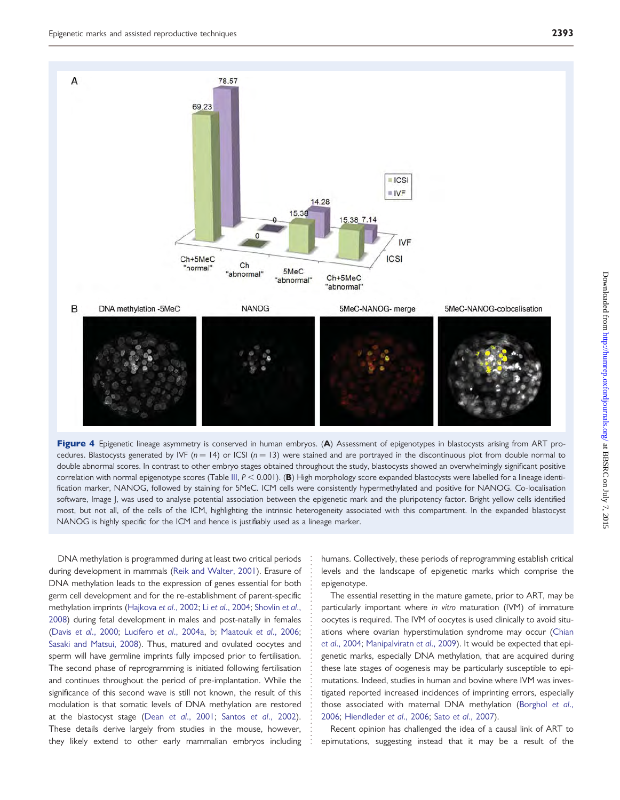<span id="page-6-0"></span>

Figure 4 Epigenetic lineage asymmetry is conserved in human embryos. (A) Assessment of epigenotypes in blastocysts arising from ART procedures. Blastocysts generated by IVF ( $n = 14$ ) or ICSI ( $n = 13$ ) were stained and are portrayed in the discontinuous plot from double normal to double abnormal scores. In contrast to other embryo stages obtained throughout the study, blastocysts showed an overwhelmingly significant positive correlation with normal epigenotype scores (Table [III,](#page-5-0)  $P < 0.001$ ). (B) High morphology score expanded blastocysts were labelled for a lineage identification marker, NANOG, followed by staining for 5MeC. ICM cells were consistently hypermethylated and positive for NANOG. Co-localisation software, Image J, was used to analyse potential association between the epigenetic mark and the pluripotency factor. Bright yellow cells identified most, but not all, of the cells of the ICM, highlighting the intrinsic heterogeneity associated with this compartment. In the expanded blastocyst NANOG is highly specific for the ICM and hence is justifiably used as a lineage marker.

DNA methylation is programmed during at least two critical periods during development in mammals [\(Reik and Walter, 2001](#page-8-0)). Erasure of DNA methylation leads to the expression of genes essential for both germ cell development and for the re-establishment of parent-specific methylation imprints [\(Hajkova](#page-7-0) et al., 2002; Li et al[., 2004](#page-8-0); [Shovlin](#page-8-0) et al., [2008](#page-8-0)) during fetal development in males and post-natally in females (Davis et al[., 2000;](#page-7-0) Lucifero et al[., 2004a,](#page-8-0) [b](#page-8-0); [Maatouk](#page-8-0) et al., 2006; [Sasaki and Matsui, 2008\)](#page-8-0). Thus, matured and ovulated oocytes and sperm will have germline imprints fully imposed prior to fertilisation. The second phase of reprogramming is initiated following fertilisation and continues throughout the period of pre-implantation. While the significance of this second wave is still not known, the result of this modulation is that somatic levels of DNA methylation are restored at the blastocyst stage (Dean et al[., 2001;](#page-7-0) Santos et al[., 2002\)](#page-8-0). These details derive largely from studies in the mouse, however, they likely extend to other early mammalian embryos including

humans. Collectively, these periods of reprogramming establish critical levels and the landscape of epigenetic marks which comprise the epigenotype.

The essential resetting in the mature gamete, prior to ART, may be particularly important where in vitro maturation (IVM) of immature oocytes is required. The IVM of oocytes is used clinically to avoid situations where ovarian hyperstimulation syndrome may occur [\(Chian](#page-7-0) et al[., 2004](#page-7-0); [Manipalviratn](#page-8-0) et al., 2009). It would be expected that epigenetic marks, especially DNA methylation, that are acquired during these late stages of oogenesis may be particularly susceptible to epimutations. Indeed, studies in human and bovine where IVM was investigated reported increased incidences of imprinting errors, especially those associated with maternal DNA methylation [\(Borghol](#page-7-0) et al., [2006](#page-7-0); [Hiendleder](#page-8-0) et al., 2006; Sato et al[., 2007](#page-8-0)).

Recent opinion has challenged the idea of a causal link of ART to epimutations, suggesting instead that it may be a result of the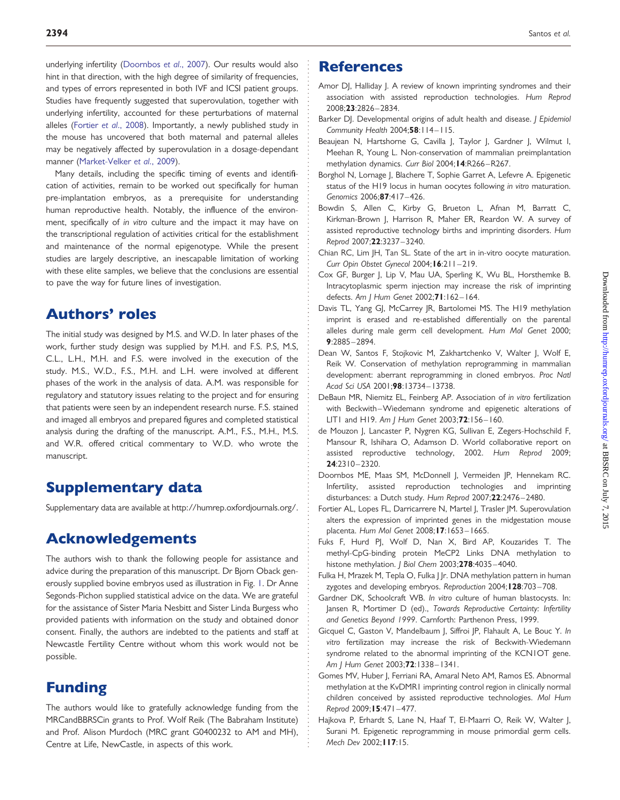<span id="page-7-0"></span>underlying infertility (Doornbos et al., 2007). Our results would also hint in that direction, with the high degree of similarity of frequencies, and types of errors represented in both IVF and ICSI patient groups. Studies have frequently suggested that superovulation, together with underlying infertility, accounted for these perturbations of maternal alleles (Fortier et al., 2008). Importantly, a newly published study in the mouse has uncovered that both maternal and paternal alleles may be negatively affected by superovulation in a dosage-dependant manner [\(Market-Velker](#page-8-0) et al., 2009).

Many details, including the specific timing of events and identification of activities, remain to be worked out specifically for human pre-implantation embryos, as a prerequisite for understanding human reproductive health. Notably, the influence of the environment, specifically of in vitro culture and the impact it may have on the transcriptional regulation of activities critical for the establishment and maintenance of the normal epigenotype. While the present studies are largely descriptive, an inescapable limitation of working with these elite samples, we believe that the conclusions are essential to pave the way for future lines of investigation.

## Authors' roles

The initial study was designed by M.S. and W.D. In later phases of the work, further study design was supplied by M.H. and F.S. P.S, M.S, C.L., L.H., M.H. and F.S. were involved in the execution of the study. M.S., W.D., F.S., M.H. and L.H. were involved at different phases of the work in the analysis of data. A.M. was responsible for regulatory and statutory issues relating to the project and for ensuring that patients were seen by an independent research nurse. F.S. stained and imaged all embryos and prepared figures and completed statistical analysis during the drafting of the manuscript. A.M., F.S., M.H., M.S. and W.R. offered critical commentary to W.D. who wrote the manuscript.

# Supplementary data

[Supplementary data are available at http://humrep.oxfordjournals.org/.](http://humrep.oxfordjournals.org/cgi/content/full/deq151/DC1)

# Acknowledgements

The authors wish to thank the following people for assistance and advice during the preparation of this manuscript. Dr Bjorn Oback generously supplied bovine embryos used as illustration in Fig. [1](#page-3-0). Dr Anne Segonds-Pichon supplied statistical advice on the data. We are grateful for the assistance of Sister Maria Nesbitt and Sister Linda Burgess who provided patients with information on the study and obtained donor consent. Finally, the authors are indebted to the patients and staff at Newcastle Fertility Centre without whom this work would not be possible.

# Funding

The authors would like to gratefully acknowledge funding from the MRCandBBRSCin grants to Prof. Wolf Reik (The Babraham Institute) and Prof. Alison Murdoch (MRC grant G0400232 to AM and MH), Centre at Life, NewCastle, in aspects of this work.

# References

- Amor DJ, Halliday J. A review of known imprinting syndromes and their association with assisted reproduction technologies. Hum Reprod 2008;23:2826 – 2834.
- Barker DJ. Developmental origins of adult health and disease. J Epidemiol Community Health 2004;58:114– 115.
- Beaujean N, Hartshorne G, Cavilla I, Taylor I, Gardner I, Wilmut I, Meehan R, Young L. Non-conservation of mammalian preimplantation methylation dynamics. Curr Biol 2004;14:R266–R267.
- Borghol N, Lornage J, Blachere T, Sophie Garret A, Lefevre A. Epigenetic status of the H19 locus in human oocytes following in vitro maturation. Genomics 2006;87:417-426.
- Bowdin S, Allen C, Kirby G, Brueton L, Afnan M, Barratt C, Kirkman-Brown J, Harrison R, Maher ER, Reardon W. A survey of assisted reproductive technology births and imprinting disorders. Hum Reprod 2007;22:3237 – 3240.
- Chian RC, Lim JH, Tan SL. State of the art in in-vitro oocyte maturation. Curr Opin Obstet Gynecol 2004; 16:211-219.
- Cox GF, Burger J, Lip V, Mau UA, Sperling K, Wu BL, Horsthemke B. Intracytoplasmic sperm injection may increase the risk of imprinting defects. Am J Hum Genet 2002;71:162-164.
- Davis TL, Yang GJ, McCarrey JR, Bartolomei MS. The H19 methylation imprint is erased and re-established differentially on the parental alleles during male germ cell development. Hum Mol Genet 2000; 9:2885 – 2894.
- Dean W, Santos F, Stojkovic M, Zakhartchenko V, Walter J, Wolf E, Reik W. Conservation of methylation reprogramming in mammalian development: aberrant reprogramming in cloned embryos. Proc Natl Acad Sci USA 2001;98:13734– 13738.
- DeBaun MR, Niemitz EL, Feinberg AP. Association of in vitro fertilization with Beckwith-Wiedemann syndrome and epigenetic alterations of LIT1 and H19. Am J Hum Genet 2003;72:156-160.
- de Mouzon J, Lancaster P, Nygren KG, Sullivan E, Zegers-Hochschild F, Mansour R, Ishihara O, Adamson D. World collaborative report on assisted reproductive technology, 2002. Hum Reprod 2009; 24:2310 – 2320.
- Doornbos ME, Maas SM, McDonnell J, Vermeiden JP, Hennekam RC. Infertility, assisted reproduction technologies and imprinting disturbances: a Dutch study. Hum Reprod 2007;22:2476-2480.
- Fortier AL, Lopes FL, Darricarrere N, Martel J, Trasler JM. Superovulation alters the expression of imprinted genes in the midgestation mouse placenta. Hum Mol Genet 2008;17:1653 – 1665.
- Fuks F, Hurd PJ, Wolf D, Nan X, Bird AP, Kouzarides T. The methyl-CpG-binding protein MeCP2 Links DNA methylation to histone methylation. *J Biol Chem* 2003;278:4035-4040.
- Fulka H, Mrazek M, Tepla O, Fulka | |r. DNA methylation pattern in human zygotes and developing embryos. Reproduction 2004;128:703– 708.
- Gardner DK, Schoolcraft WB. In vitro culture of human blastocysts. In: Jansen R, Mortimer D (ed)., Towards Reproductive Certainty: Infertility and Genetics Beyond 1999. Carnforth: Parthenon Press, 1999.
- Gicquel C, Gaston V, Mandelbaum J, Siffroi JP, Flahault A, Le Bouc Y. In vitro fertilization may increase the risk of Beckwith-Wiedemann syndrome related to the abnormal imprinting of the KCN1OT gene. Am | Hum Genet 2003;72:1338-1341.
- Gomes MV, Huber J, Ferriani RA, Amaral Neto AM, Ramos ES. Abnormal methylation at the KvDMR1 imprinting control region in clinically normal children conceived by assisted reproductive technologies. Mol Hum Reprod 2009; **15:471-477.**
- Hajkova P, Erhardt S, Lane N, Haaf T, El-Maarri O, Reik W, Walter J, Surani M. Epigenetic reprogramming in mouse primordial germ cells. Mech Dev 2002; 117:15.